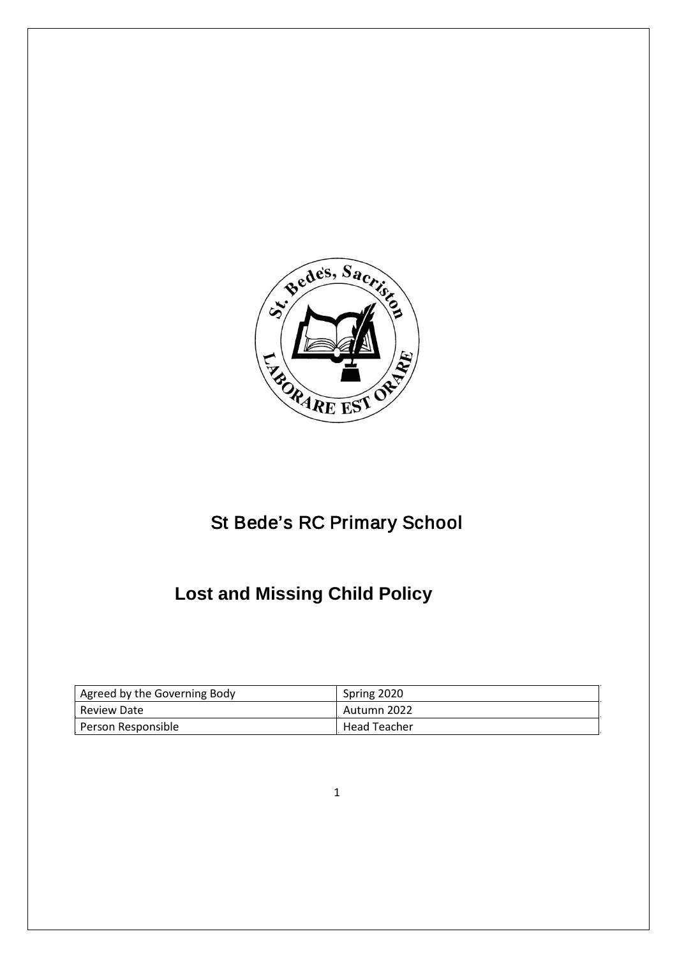

## St Bede's RC Primary School

## **Lost and Missing Child Policy**

| Agreed by the Governing Body | Spring 2020         |
|------------------------------|---------------------|
| Review Date                  | Autumn 2022         |
| Person Responsible           | <b>Head Teacher</b> |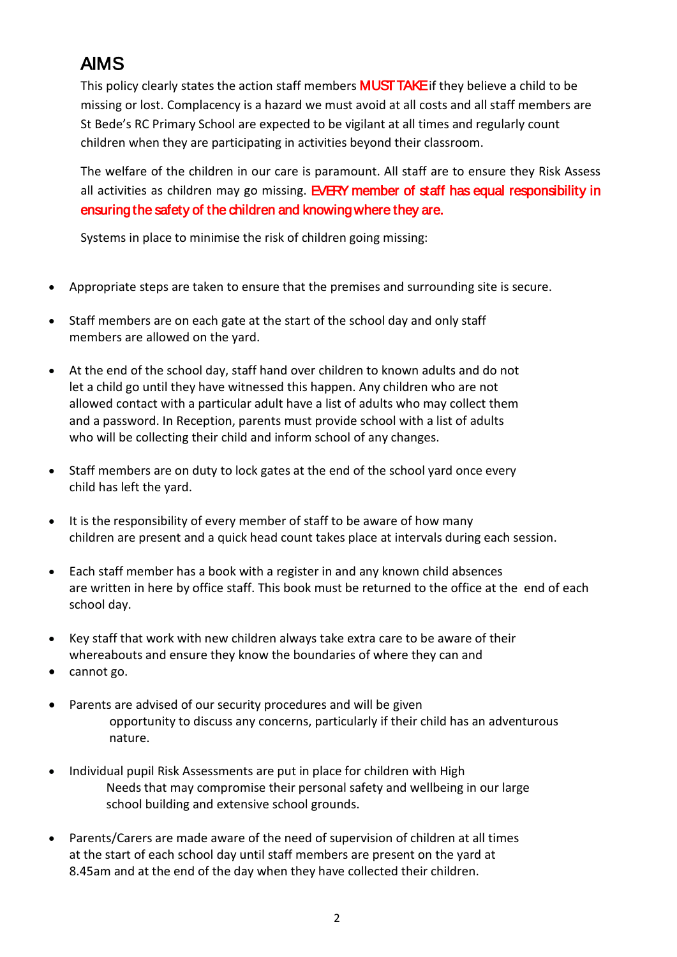## AIMS

This policy clearly states the action staff members **MUST TAKE** if they believe a child to be missing or lost. Complacency is a hazard we must avoid at all costs and all staff members are St Bede's RC Primary School are expected to be vigilant at all times and regularly count children when they are participating in activities beyond their classroom.

The welfare of the children in our care is paramount. All staff are to ensure they Risk Assess all activities as children may go missing. EVERY member of staff has equal responsibility in ensuring the safety of the children and knowing where they are.

Systems in place to minimise the risk of children going missing:

- Appropriate steps are taken to ensure that the premises and surrounding site is secure.
- Staff members are on each gate at the start of the school day and only staff members are allowed on the yard.
- At the end of the school day, staff hand over children to known adults and do not let a child go until they have witnessed this happen. Any children who are not allowed contact with a particular adult have a list of adults who may collect them and a password. In Reception, parents must provide school with a list of adults who will be collecting their child and inform school of any changes.
- Staff members are on duty to lock gates at the end of the school yard once every child has left the yard.
- It is the responsibility of every member of staff to be aware of how many children are present and a quick head count takes place at intervals during each session.
- Each staff member has a book with a register in and any known child absences are written in here by office staff. This book must be returned to the office at the end of each school day.
- Key staff that work with new children always take extra care to be aware of their whereabouts and ensure they know the boundaries of where they can and
- cannot go.
- Parents are advised of our security procedures and will be given opportunity to discuss any concerns, particularly if their child has an adventurous nature.
- Individual pupil Risk Assessments are put in place for children with High Needs that may compromise their personal safety and wellbeing in our large school building and extensive school grounds.
- Parents/Carers are made aware of the need of supervision of children at all times at the start of each school day until staff members are present on the yard at 8.45am and at the end of the day when they have collected their children.